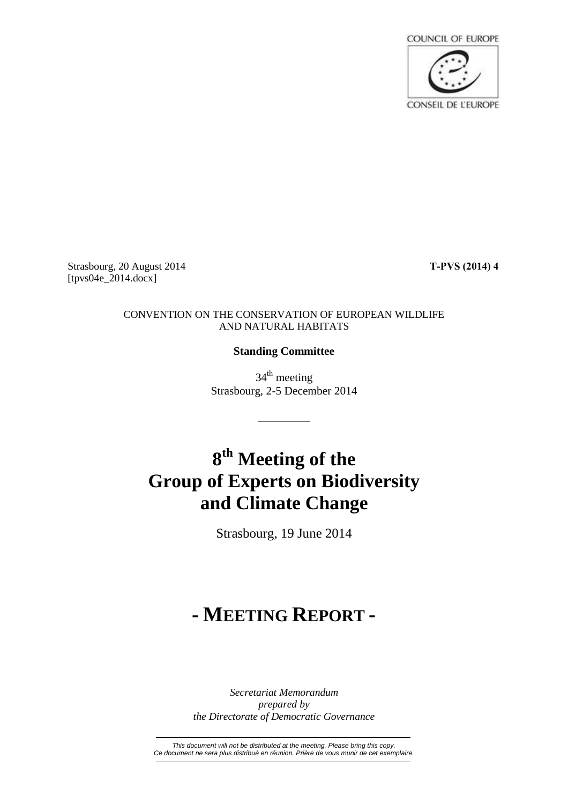

Strasbourg, 20 August 2014 **T-PVS (2014) 4** [tpvs04e\_2014.docx]

#### CONVENTION ON THE CONSERVATION OF EUROPEAN WILDLIFE AND NATURAL HABITATS

# **Standing Committee**

34<sup>th</sup> meeting Strasbourg, 2-5 December 2014

\_\_\_\_\_\_\_\_\_\_

# **8 th Meeting of the Group of Experts on Biodiversity and Climate Change**

Strasbourg, 19 June 2014

# **- MEETING REPORT -**

*Secretariat Memorandum prepared by the Directorate of Democratic Governance*

*This document will not be distributed at the meeting. Please bring this copy. Ce document ne sera plus distribué en réunion. Prière de vous munir de cet exemplaire.*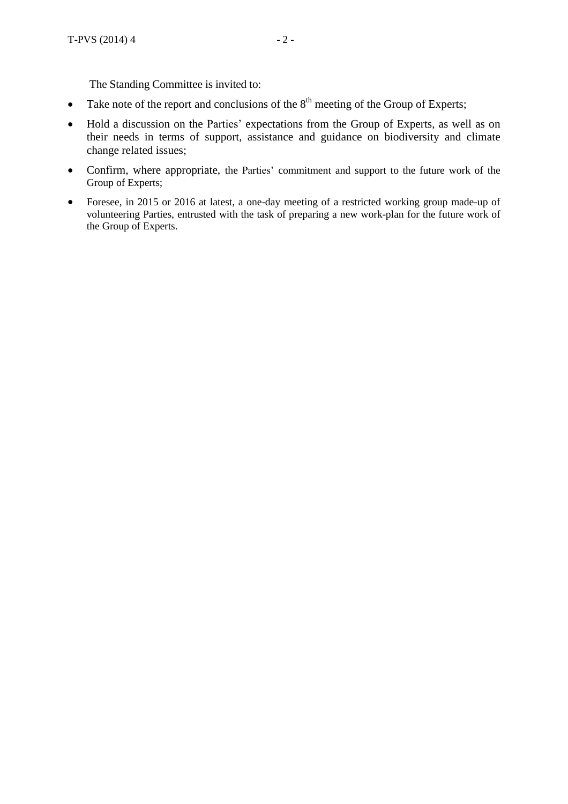The Standing Committee is invited to:

- Take note of the report and conclusions of the  $8<sup>th</sup>$  meeting of the Group of Experts;
- Hold a discussion on the Parties' expectations from the Group of Experts, as well as on their needs in terms of support, assistance and guidance on biodiversity and climate change related issues;
- Confirm, where appropriate, the Parties' commitment and support to the future work of the Group of Experts;
- Foresee, in 2015 or 2016 at latest, a one-day meeting of a restricted working group made-up of volunteering Parties, entrusted with the task of preparing a new work-plan for the future work of the Group of Experts.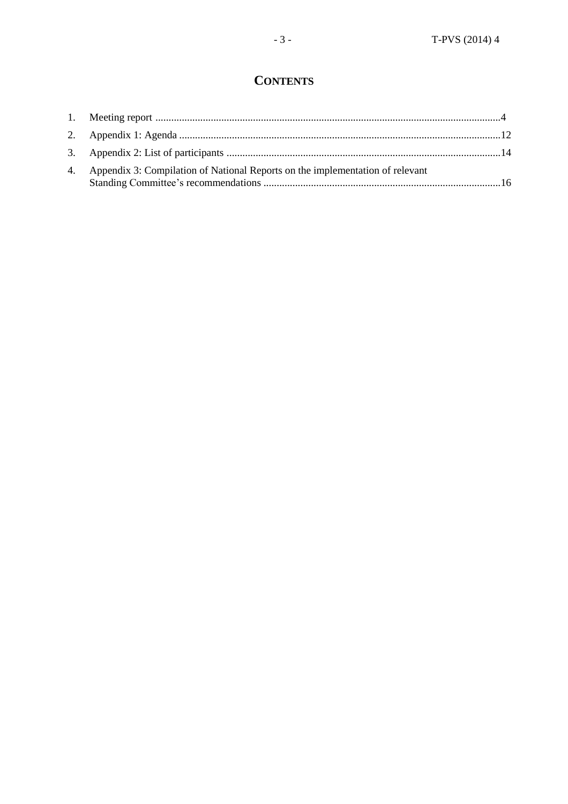# **CONTENTS**

| 4. Appendix 3: Compilation of National Reports on the implementation of relevant |  |
|----------------------------------------------------------------------------------|--|
|                                                                                  |  |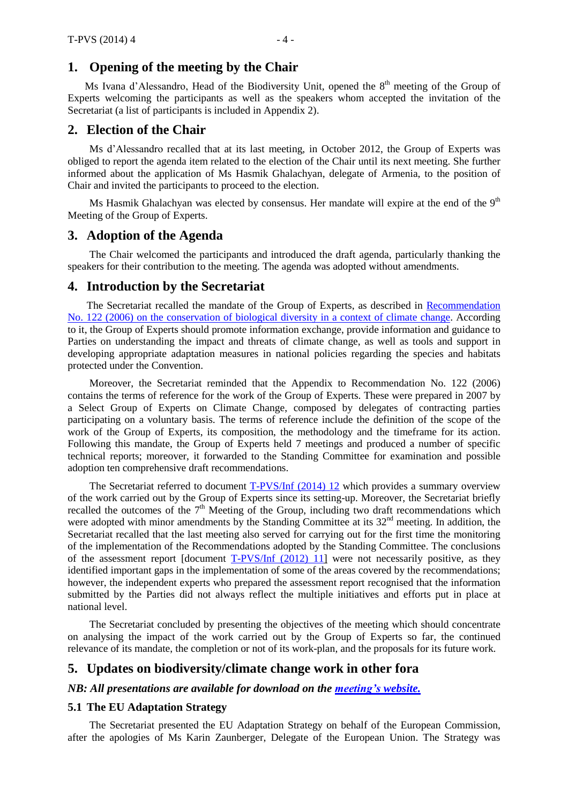### <span id="page-3-0"></span>**1. Opening of the meeting by the Chair**

Ms Ivana d'Alessandro, Head of the Biodiversity Unit, opened the 8<sup>th</sup> meeting of the Group of Experts welcoming the participants as well as the speakers whom accepted the invitation of the Secretariat (a list of participants is included in Appendix 2).

## **2. Election of the Chair**

Ms d'Alessandro recalled that at its last meeting, in October 2012, the Group of Experts was obliged to report the agenda item related to the election of the Chair until its next meeting. She further informed about the application of Ms Hasmik Ghalachyan, delegate of Armenia, to the position of Chair and invited the participants to proceed to the election.

Ms Hasmik Ghalachyan was elected by consensus. Her mandate will expire at the end of the  $9^\text{th}$ Meeting of the Group of Experts.

#### **3. Adoption of the Agenda**

The Chair welcomed the participants and introduced the draft agenda, particularly thanking the speakers for their contribution to the meeting. The agenda was adopted without amendments.

#### **4. Introduction by the Secretariat**

The Secretariat recalled the mandate of the Group of Experts, as described in [Recommendation](https://wcd.coe.int/ViewDoc.jsp?id=1486109&Site=&BackColorInternet=B9BDEE&BackColorIntranet=FFCD4F&BackColorLogged=FFC679) No. 122 (2006) on the [conservation](https://wcd.coe.int/ViewDoc.jsp?id=1486109&Site=&BackColorInternet=B9BDEE&BackColorIntranet=FFCD4F&BackColorLogged=FFC679) of biological diversity in a context of climate change. According to it, the Group of Experts should promote information exchange, provide information and guidance to Parties on understanding the impact and threats of climate change, as well as tools and support in developing appropriate adaptation measures in national policies regarding the species and habitats protected under the Convention.

Moreover, the Secretariat reminded that the Appendix to Recommendation No. 122 (2006) contains the terms of reference for the work of the Group of Experts. These were prepared in 2007 by a Select Group of Experts on Climate Change, composed by delegates of contracting parties participating on a voluntary basis. The terms of reference include the definition of the scope of the work of the Group of Experts, its composition, the methodology and the timeframe for its action. Following this mandate, the Group of Experts held 7 meetings and produced a number of specific technical reports; moreover, it forwarded to the Standing Committee for examination and possible adoption ten comprehensive draft recommendations.

The Secretariat referred to document [T-PVS/Inf](https://wcd.coe.int/com.instranet.InstraServlet?command=com.instranet.CmdBlobGet&InstranetImage=2539741&SecMode=1&DocId=2147824&Usage=2) (2014) 12 which provides a summary overview of the work carried out by the Group of Experts since its setting-up. Moreover, the Secretariat briefly recalled the outcomes of the  $7<sup>th</sup>$  Meeting of the Group, including two draft recommendations which were adopted with minor amendments by the Standing Committee at its 32<sup>nd</sup> meeting. In addition, the Secretariat recalled that the last meeting also served for carrying out for the first time the monitoring of the implementation of the Recommendations adopted by the Standing Committee. The conclusions of the assessment report [document  $T-PVS/Inf$  (2012) 11] were not necessarily positive, as they identified important gaps in the implementation of some of the areas covered by the recommendations; however, the independent experts who prepared the assessment report recognised that the information submitted by the Parties did not always reflect the multiple initiatives and efforts put in place at national level.

The Secretariat concluded by presenting the objectives of the meeting which should concentrate on analysing the impact of the work carried out by the Group of Experts so far, the continued relevance of its mandate, the completion or not of its work-plan, and the proposals for its future work.

# **5. Updates on biodiversity/climate change work in other fora**

*NB: All presentations are available for download on the [meeting's](http://www.coe.int/t/dg4/cultureheritage/nature/Bern/ClimateChange/Meeting_062014_en.asp) website.*

#### **5.1 The EU Adaptation Strategy**

The Secretariat presented the EU Adaptation Strategy on behalf of the European Commission, after the apologies of Ms Karin Zaunberger, Delegate of the European Union. The Strategy was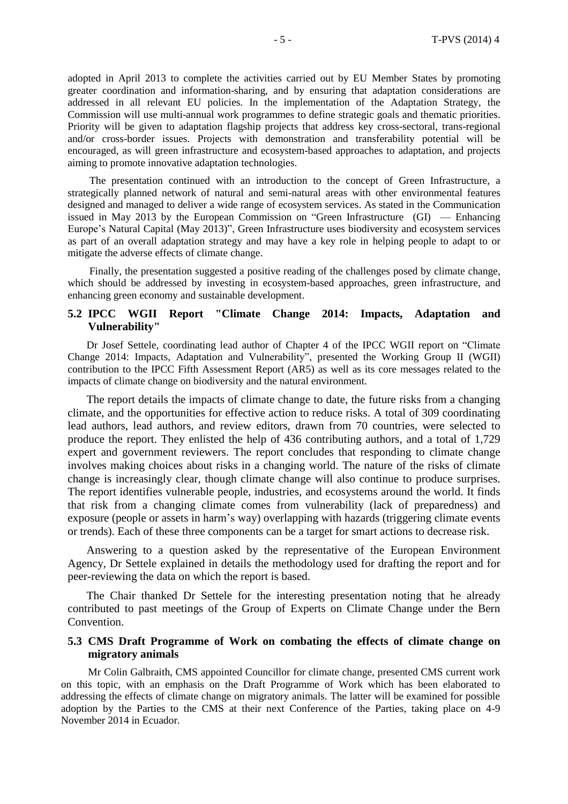adopted in April 2013 to complete the activities carried out by EU Member States by promoting greater coordination and information-sharing, and by ensuring that adaptation considerations are addressed in all relevant EU policies. In the implementation of the Adaptation Strategy, the Commission will use multi-annual work programmes to define strategic goals and thematic priorities. Priority will be given to adaptation flagship projects that address key cross-sectoral, trans-regional and/or cross-border issues. Projects with demonstration and transferability potential will be encouraged, as will green infrastructure and ecosystem-based approaches to adaptation, and projects aiming to promote innovative adaptation technologies.

The presentation continued with an introduction to the concept of Green Infrastructure, a strategically planned network of natural and semi-natural areas with other environmental features designed and managed to deliver a wide range of ecosystem services. As stated in the Communication issued in May 2013 by the European Commission on "Green Infrastructure (GI) — Enhancing Europe's Natural Capital (May 2013)", Green Infrastructure uses biodiversity and ecosystem services as part of an overall adaptation strategy and may have a key role in helping people to adapt to or mitigate the adverse effects of climate change.

Finally, the presentation suggested a positive reading of the challenges posed by climate change, which should be addressed by investing in ecosystem-based approaches, green infrastructure, and enhancing green economy and sustainable development.

#### **5.2 IPCC WGII Report "Climate Change 2014: Impacts, Adaptation and Vulnerability"**

Dr Josef Settele, coordinating lead author of Chapter 4 of the IPCC WGII report on "Climate Change 2014: Impacts, Adaptation and Vulnerability", presented the Working Group II (WGII) contribution to the IPCC Fifth Assessment Report (AR5) as well as its core messages related to the impacts of climate change on biodiversity and the natural environment.

The report details the impacts of climate change to date, the future risks from a changing climate, and the opportunities for effective action to reduce risks. A total of 309 coordinating lead authors, lead authors, and review editors, drawn from 70 countries, were selected to produce the report. They enlisted the help of 436 contributing authors, and a total of 1,729 expert and government reviewers. The report concludes that responding to climate change involves making choices about risks in a changing world. The nature of the risks of climate change is increasingly clear, though climate change will also continue to produce surprises. The report identifies vulnerable people, industries, and ecosystems around the world. It finds that risk from a changing climate comes from vulnerability (lack of preparedness) and exposure (people or assets in harm's way) overlapping with hazards (triggering climate events or trends). Each of these three components can be a target for smart actions to decrease risk.

Answering to a question asked by the representative of the European Environment Agency, Dr Settele explained in details the methodology used for drafting the report and for peer-reviewing the data on which the report is based.

The Chair thanked Dr Settele for the interesting presentation noting that he already contributed to past meetings of the Group of Experts on Climate Change under the Bern Convention.

#### **5.3 CMS Draft Programme of Work on combating the effects of climate change on migratory animals**

Mr Colin Galbraith, CMS appointed Councillor for climate change, presented CMS current work on this topic, with an emphasis on the Draft Programme of Work which has been elaborated to addressing the effects of climate change on migratory animals. The latter will be examined for possible adoption by the Parties to the CMS at their next Conference of the Parties, taking place on 4-9 November 2014 in Ecuador.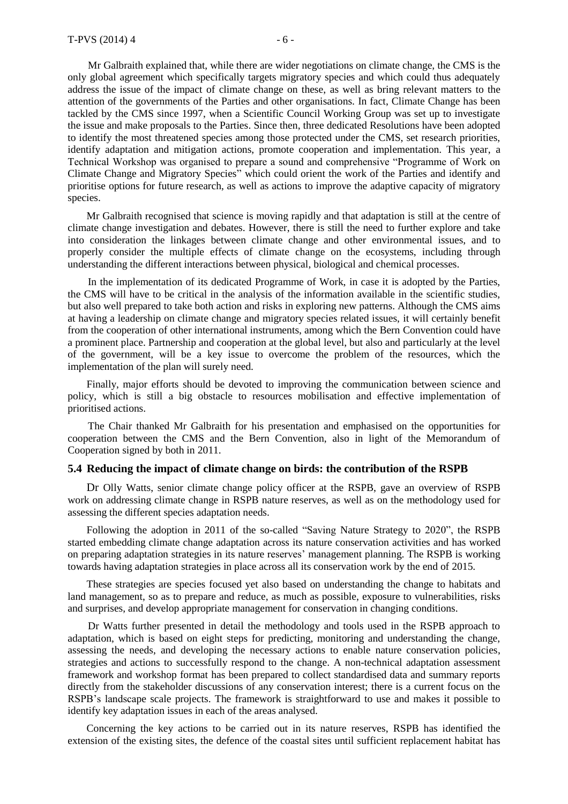Mr Galbraith explained that, while there are wider negotiations on climate change, the CMS is the only global agreement which specifically targets migratory species and which could thus adequately address the issue of the impact of climate change on these, as well as bring relevant matters to the attention of the governments of the Parties and other organisations. In fact, Climate Change has been tackled by the CMS since 1997, when a Scientific Council Working Group was set up to investigate the issue and make proposals to the Parties. Since then, three dedicated Resolutions have been adopted to identify the most threatened species among those protected under the CMS, set research priorities, identify adaptation and mitigation actions, promote cooperation and implementation. This year, a Technical Workshop was organised to prepare a sound and comprehensive "Programme of Work on Climate Change and Migratory Species" which could orient the work of the Parties and identify and prioritise options for future research, as well as actions to improve the adaptive capacity of migratory species.

Mr Galbraith recognised that science is moving rapidly and that adaptation is still at the centre of climate change investigation and debates. However, there is still the need to further explore and take into consideration the linkages between climate change and other environmental issues, and to properly consider the multiple effects of climate change on the ecosystems, including through understanding the different interactions between physical, biological and chemical processes.

In the implementation of its dedicated Programme of Work, in case it is adopted by the Parties, the CMS will have to be critical in the analysis of the information available in the scientific studies, but also well prepared to take both action and risks in exploring new patterns. Although the CMS aims at having a leadership on climate change and migratory species related issues, it will certainly benefit from the cooperation of other international instruments, among which the Bern Convention could have a prominent place. Partnership and cooperation at the global level, but also and particularly at the level of the government, will be a key issue to overcome the problem of the resources, which the implementation of the plan will surely need.

Finally, major efforts should be devoted to improving the communication between science and policy, which is still a big obstacle to resources mobilisation and effective implementation of prioritised actions.

The Chair thanked Mr Galbraith for his presentation and emphasised on the opportunities for cooperation between the CMS and the Bern Convention, also in light of the Memorandum of Cooperation signed by both in 2011.

#### **5.4 Reducing the impact of climate change on birds: the contribution of the RSPB**

Dr Olly Watts, senior climate change policy officer at the RSPB, gave an overview of RSPB work on addressing climate change in RSPB nature reserves, as well as on the methodology used for assessing the different species adaptation needs.

Following the adoption in 2011 of the so-called "Saving Nature Strategy to 2020", the RSPB started embedding climate change adaptation across its nature conservation activities and has worked on preparing adaptation strategies in its nature reserves' management planning. The RSPB is working towards having adaptation strategies in place across all its conservation work by the end of 2015.

These strategies are species focused yet also based on understanding the change to habitats and land management, so as to prepare and reduce, as much as possible, exposure to vulnerabilities, risks and surprises, and develop appropriate management for conservation in changing conditions.

Dr Watts further presented in detail the methodology and tools used in the RSPB approach to adaptation, which is based on eight steps for predicting, monitoring and understanding the change, assessing the needs, and developing the necessary actions to enable nature conservation policies, strategies and actions to successfully respond to the change. A non-technical adaptation assessment framework and workshop format has been prepared to collect standardised data and summary reports directly from the stakeholder discussions of any conservation interest; there is a current focus on the RSPB's landscape scale projects. The framework is straightforward to use and makes it possible to identify key adaptation issues in each of the areas analysed.

Concerning the key actions to be carried out in its nature reserves, RSPB has identified the extension of the existing sites, the defence of the coastal sites until sufficient replacement habitat has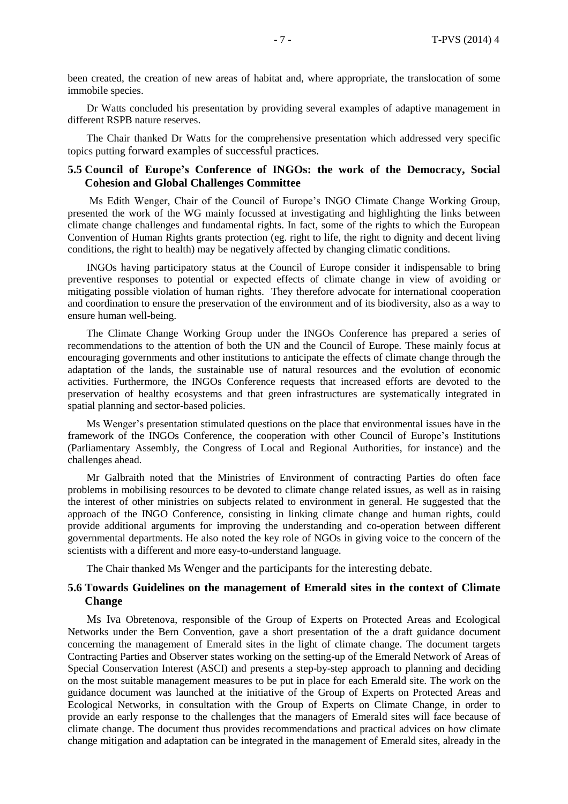been created, the creation of new areas of habitat and, where appropriate, the translocation of some immobile species.

Dr Watts concluded his presentation by providing several examples of adaptive management in different RSPB nature reserves.

The Chair thanked Dr Watts for the comprehensive presentation which addressed very specific topics putting forward examples of successful practices.

#### **5.5 Council of Europe's Conference of INGOs: the work of the Democracy, Social Cohesion and Global Challenges Committee**

Ms Edith Wenger, Chair of the Council of Europe's INGO Climate Change Working Group, presented the work of the WG mainly focussed at investigating and highlighting the links between climate change challenges and fundamental rights. In fact, some of the rights to which the European Convention of Human Rights grants protection (eg. right to life, the right to dignity and decent living conditions, the right to health) may be negatively affected by changing climatic conditions.

INGOs having participatory status at the Council of Europe consider it indispensable to bring preventive responses to potential or expected effects of climate change in view of avoiding or mitigating possible violation of human rights. They therefore advocate for international cooperation and coordination to ensure the preservation of the environment and of its biodiversity, also as a way to ensure human well-being.

The Climate Change Working Group under the INGOs Conference has prepared a series of recommendations to the attention of both the UN and the Council of Europe. These mainly focus at encouraging governments and other institutions to anticipate the effects of climate change through the adaptation of the lands, the sustainable use of natural resources and the evolution of economic activities. Furthermore, the INGOs Conference requests that increased efforts are devoted to the preservation of healthy ecosystems and that green infrastructures are systematically integrated in spatial planning and sector-based policies.

Ms Wenger's presentation stimulated questions on the place that environmental issues have in the framework of the INGOs Conference, the cooperation with other Council of Europe's Institutions (Parliamentary Assembly, the Congress of Local and Regional Authorities, for instance) and the challenges ahead.

Mr Galbraith noted that the Ministries of Environment of contracting Parties do often face problems in mobilising resources to be devoted to climate change related issues, as well as in raising the interest of other ministries on subjects related to environment in general. He suggested that the approach of the INGO Conference, consisting in linking climate change and human rights, could provide additional arguments for improving the understanding and co-operation between different governmental departments. He also noted the key role of NGOs in giving voice to the concern of the scientists with a different and more easy-to-understand language.

The Chair thanked Ms Wenger and the participants for the interesting debate.

#### **5.6 Towards Guidelines on the management of Emerald sites in the context of Climate Change**

Ms Iva Obretenova, responsible of the Group of Experts on Protected Areas and Ecological Networks under the Bern Convention, gave a short presentation of the a draft guidance document concerning the management of Emerald sites in the light of climate change. The document targets Contracting Parties and Observer states working on the setting-up of the Emerald Network of Areas of Special Conservation Interest (ASCI) and presents a step-by-step approach to planning and deciding on the most suitable management measures to be put in place for each Emerald site. The work on the guidance document was launched at the initiative of the Group of Experts on Protected Areas and Ecological Networks, in consultation with the Group of Experts on Climate Change, in order to provide an early response to the challenges that the managers of Emerald sites will face because of climate change. The document thus provides recommendations and practical advices on how climate change mitigation and adaptation can be integrated in the management of Emerald sites, already in the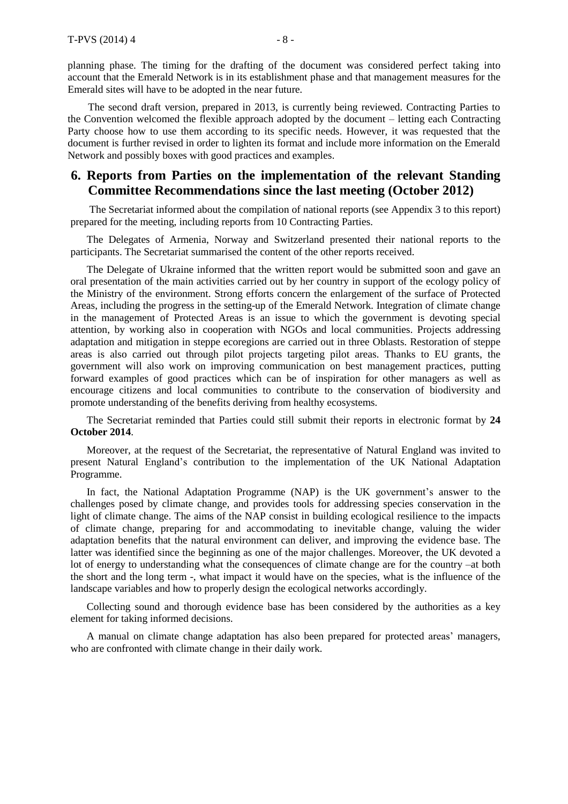planning phase. The timing for the drafting of the document was considered perfect taking into account that the Emerald Network is in its establishment phase and that management measures for the Emerald sites will have to be adopted in the near future.

The second draft version, prepared in 2013, is currently being reviewed. Contracting Parties to the Convention welcomed the flexible approach adopted by the document – letting each Contracting Party choose how to use them according to its specific needs. However, it was requested that the document is further revised in order to lighten its format and include more information on the Emerald Network and possibly boxes with good practices and examples.

# **6. Reports from Parties on the implementation of the relevant Standing Committee Recommendations since the last meeting (October 2012)**

The Secretariat informed about the compilation of national reports (see Appendix 3 to this report) prepared for the meeting, including reports from 10 Contracting Parties.

The Delegates of Armenia, Norway and Switzerland presented their national reports to the participants. The Secretariat summarised the content of the other reports received.

The Delegate of Ukraine informed that the written report would be submitted soon and gave an oral presentation of the main activities carried out by her country in support of the ecology policy of the Ministry of the environment. Strong efforts concern the enlargement of the surface of Protected Areas, including the progress in the setting-up of the Emerald Network. Integration of climate change in the management of Protected Areas is an issue to which the government is devoting special attention, by working also in cooperation with NGOs and local communities. Projects addressing adaptation and mitigation in steppe ecoregions are carried out in three Oblasts. Restoration of steppe areas is also carried out through pilot projects targeting pilot areas. Thanks to EU grants, the government will also work on improving communication on best management practices, putting forward examples of good practices which can be of inspiration for other managers as well as encourage citizens and local communities to contribute to the conservation of biodiversity and promote understanding of the benefits deriving from healthy ecosystems.

The Secretariat reminded that Parties could still submit their reports in electronic format by **24 October 2014**.

Moreover, at the request of the Secretariat, the representative of Natural England was invited to present Natural England's contribution to the implementation of the UK National Adaptation Programme.

In fact, the National Adaptation Programme (NAP) is the UK government's answer to the challenges posed by climate change, and provides tools for addressing species conservation in the light of climate change. The aims of the NAP consist in building ecological resilience to the impacts of climate change, preparing for and accommodating to inevitable change, valuing the wider adaptation benefits that the natural environment can deliver, and improving the evidence base. The latter was identified since the beginning as one of the major challenges. Moreover, the UK devoted a lot of energy to understanding what the consequences of climate change are for the country –at both the short and the long term -, what impact it would have on the species, what is the influence of the landscape variables and how to properly design the ecological networks accordingly.

Collecting sound and thorough evidence base has been considered by the authorities as a key element for taking informed decisions.

A manual on climate change adaptation has also been prepared for protected areas' managers, who are confronted with climate change in their daily work.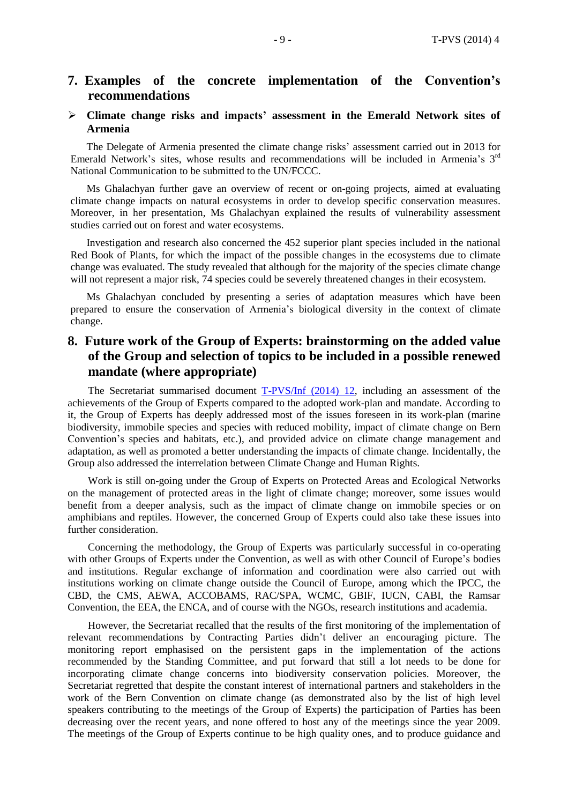# **7. Examples of the concrete implementation of the Convention's recommendations**

#### **Climate change risks and impacts' assessment in the Emerald Network sites of Armenia**

The Delegate of Armenia presented the climate change risks' assessment carried out in 2013 for Emerald Network's sites, whose results and recommendations will be included in Armenia's 3<sup>rd</sup> National Communication to be submitted to the UN/FCCC.

Ms Ghalachyan further gave an overview of recent or on-going projects, aimed at evaluating climate change impacts on natural ecosystems in order to develop specific conservation measures. Moreover, in her presentation, Ms Ghalachyan explained the results of vulnerability assessment studies carried out on forest and water ecosystems.

Investigation and research also concerned the 452 superior plant species included in the national Red Book of Plants, for which the impact of the possible changes in the ecosystems due to climate change was evaluated. The study revealed that although for the majority of the species climate change will not represent a major risk, 74 species could be severely threatened changes in their ecosystem.

Ms Ghalachyan concluded by presenting a series of adaptation measures which have been prepared to ensure the conservation of Armenia's biological diversity in the context of climate change.

# **8. Future work of the Group of Experts: brainstorming on the added value of the Group and selection of topics to be included in a possible renewed mandate (where appropriate)**

The Secretariat summarised document [T-PVS/Inf](https://wcd.coe.int/com.instranet.InstraServlet?command=com.instranet.CmdBlobGet&InstranetImage=2539741&SecMode=1&DocId=2147824&Usage=2) (2014) 12, including an assessment of the achievements of the Group of Experts compared to the adopted work-plan and mandate. According to it, the Group of Experts has deeply addressed most of the issues foreseen in its work-plan (marine biodiversity, immobile species and species with reduced mobility, impact of climate change on Bern Convention's species and habitats, etc.), and provided advice on climate change management and adaptation, as well as promoted a better understanding the impacts of climate change. Incidentally, the Group also addressed the interrelation between Climate Change and Human Rights.

Work is still on-going under the Group of Experts on Protected Areas and Ecological Networks on the management of protected areas in the light of climate change; moreover, some issues would benefit from a deeper analysis, such as the impact of climate change on immobile species or on amphibians and reptiles. However, the concerned Group of Experts could also take these issues into further consideration.

Concerning the methodology, the Group of Experts was particularly successful in co-operating with other Groups of Experts under the Convention, as well as with other Council of Europe's bodies and institutions. Regular exchange of information and coordination were also carried out with institutions working on climate change outside the Council of Europe, among which the IPCC, the CBD, the CMS, AEWA, ACCOBAMS, RAC/SPA, WCMC, GBIF, IUCN, CABI, the Ramsar Convention, the EEA, the ENCA, and of course with the NGOs, research institutions and academia.

However, the Secretariat recalled that the results of the first monitoring of the implementation of relevant recommendations by Contracting Parties didn't deliver an encouraging picture. The monitoring report emphasised on the persistent gaps in the implementation of the actions recommended by the Standing Committee, and put forward that still a lot needs to be done for incorporating climate change concerns into biodiversity conservation policies. Moreover, the Secretariat regretted that despite the constant interest of international partners and stakeholders in the work of the Bern Convention on climate change (as demonstrated also by the list of high level speakers contributing to the meetings of the Group of Experts) the participation of Parties has been decreasing over the recent years, and none offered to host any of the meetings since the year 2009. The meetings of the Group of Experts continue to be high quality ones, and to produce guidance and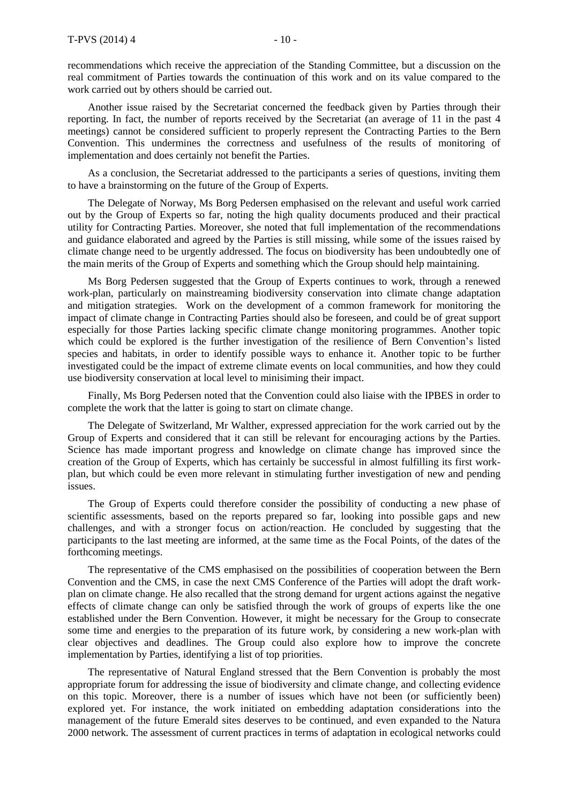recommendations which receive the appreciation of the Standing Committee, but a discussion on the real commitment of Parties towards the continuation of this work and on its value compared to the work carried out by others should be carried out.

Another issue raised by the Secretariat concerned the feedback given by Parties through their reporting. In fact, the number of reports received by the Secretariat (an average of 11 in the past 4 meetings) cannot be considered sufficient to properly represent the Contracting Parties to the Bern Convention. This undermines the correctness and usefulness of the results of monitoring of implementation and does certainly not benefit the Parties.

As a conclusion, the Secretariat addressed to the participants a series of questions, inviting them to have a brainstorming on the future of the Group of Experts.

The Delegate of Norway, Ms Borg Pedersen emphasised on the relevant and useful work carried out by the Group of Experts so far, noting the high quality documents produced and their practical utility for Contracting Parties. Moreover, she noted that full implementation of the recommendations and guidance elaborated and agreed by the Parties is still missing, while some of the issues raised by climate change need to be urgently addressed. The focus on biodiversity has been undoubtedly one of the main merits of the Group of Experts and something which the Group should help maintaining.

Ms Borg Pedersen suggested that the Group of Experts continues to work, through a renewed work-plan, particularly on mainstreaming biodiversity conservation into climate change adaptation and mitigation strategies. Work on the development of a common framework for monitoring the impact of climate change in Contracting Parties should also be foreseen, and could be of great support especially for those Parties lacking specific climate change monitoring programmes. Another topic which could be explored is the further investigation of the resilience of Bern Convention's listed species and habitats, in order to identify possible ways to enhance it. Another topic to be further investigated could be the impact of extreme climate events on local communities, and how they could use biodiversity conservation at local level to minisiming their impact.

Finally, Ms Borg Pedersen noted that the Convention could also liaise with the IPBES in order to complete the work that the latter is going to start on climate change.

The Delegate of Switzerland, Mr Walther, expressed appreciation for the work carried out by the Group of Experts and considered that it can still be relevant for encouraging actions by the Parties. Science has made important progress and knowledge on climate change has improved since the creation of the Group of Experts, which has certainly be successful in almost fulfilling its first workplan, but which could be even more relevant in stimulating further investigation of new and pending issues.

The Group of Experts could therefore consider the possibility of conducting a new phase of scientific assessments, based on the reports prepared so far, looking into possible gaps and new challenges, and with a stronger focus on action/reaction. He concluded by suggesting that the participants to the last meeting are informed, at the same time as the Focal Points, of the dates of the forthcoming meetings.

The representative of the CMS emphasised on the possibilities of cooperation between the Bern Convention and the CMS, in case the next CMS Conference of the Parties will adopt the draft workplan on climate change. He also recalled that the strong demand for urgent actions against the negative effects of climate change can only be satisfied through the work of groups of experts like the one established under the Bern Convention. However, it might be necessary for the Group to consecrate some time and energies to the preparation of its future work, by considering a new work-plan with clear objectives and deadlines. The Group could also explore how to improve the concrete implementation by Parties, identifying a list of top priorities.

The representative of Natural England stressed that the Bern Convention is probably the most appropriate forum for addressing the issue of biodiversity and climate change, and collecting evidence on this topic. Moreover, there is a number of issues which have not been (or sufficiently been) explored yet. For instance, the work initiated on embedding adaptation considerations into the management of the future Emerald sites deserves to be continued, and even expanded to the Natura 2000 network. The assessment of current practices in terms of adaptation in ecological networks could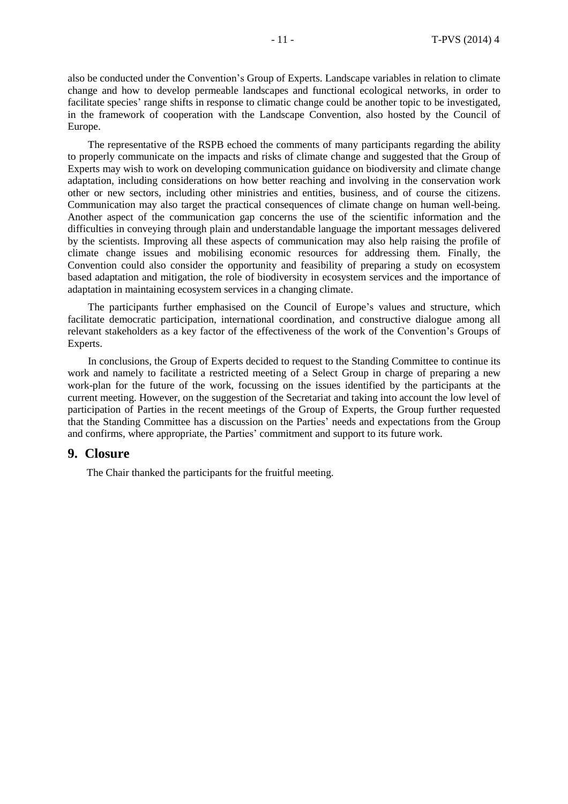also be conducted under the Convention's Group of Experts. Landscape variables in relation to climate change and how to develop permeable landscapes and functional ecological networks, in order to facilitate species' range shifts in response to climatic change could be another topic to be investigated, in the framework of cooperation with the Landscape Convention, also hosted by the Council of Europe.

The representative of the RSPB echoed the comments of many participants regarding the ability to properly communicate on the impacts and risks of climate change and suggested that the Group of Experts may wish to work on developing communication guidance on biodiversity and climate change adaptation, including considerations on how better reaching and involving in the conservation work other or new sectors, including other ministries and entities, business, and of course the citizens. Communication may also target the practical consequences of climate change on human well-being. Another aspect of the communication gap concerns the use of the scientific information and the difficulties in conveying through plain and understandable language the important messages delivered by the scientists. Improving all these aspects of communication may also help raising the profile of climate change issues and mobilising economic resources for addressing them. Finally, the Convention could also consider the opportunity and feasibility of preparing a study on ecosystem based adaptation and mitigation, the role of biodiversity in ecosystem services and the importance of adaptation in maintaining ecosystem services in a changing climate.

The participants further emphasised on the Council of Europe's values and structure, which facilitate democratic participation, international coordination, and constructive dialogue among all relevant stakeholders as a key factor of the effectiveness of the work of the Convention's Groups of Experts.

In conclusions, the Group of Experts decided to request to the Standing Committee to continue its work and namely to facilitate a restricted meeting of a Select Group in charge of preparing a new work-plan for the future of the work, focussing on the issues identified by the participants at the current meeting. However, on the suggestion of the Secretariat and taking into account the low level of participation of Parties in the recent meetings of the Group of Experts, the Group further requested that the Standing Committee has a discussion on the Parties' needs and expectations from the Group and confirms, where appropriate, the Parties' commitment and support to its future work.

#### **9. Closure**

The Chair thanked the participants for the fruitful meeting.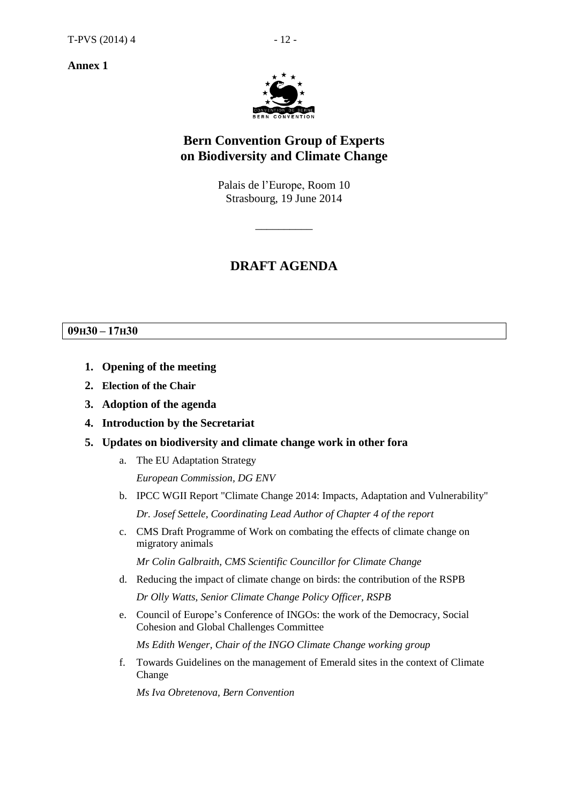**Annex 1**



# **Bern Convention Group of Experts on Biodiversity and Climate Change**

Palais de l'Europe, Room 10 Strasbourg, 19 June 2014

 $\overline{\phantom{a}}$  , where  $\overline{\phantom{a}}$ 

# **DRAFT AGENDA**

#### **09H30 – 17H30**

- **1. Opening of the meeting**
- **2. Election of the Chair**
- **3. Adoption of the agenda**
- **4. Introduction by the Secretariat**
- **5. Updates on biodiversity and climate change work in other fora**
	- a. The EU Adaptation Strategy *European Commission, DG ENV*
	- b. IPCC WGII Report "Climate Change 2014: Impacts, Adaptation and Vulnerability" *Dr. Josef Settele, Coordinating Lead Author of Chapter 4 of the report*
	- c. CMS Draft Programme of Work on combating the effects of climate change on migratory animals

*Mr Colin Galbraith, CMS Scientific Councillor for Climate Change*

- d. Reducing the impact of climate change on birds: the contribution of the RSPB *Dr Olly Watts, Senior Climate Change Policy Officer, RSPB*
- e. Council of Europe's Conference of INGOs: the work of the Democracy, Social Cohesion and Global Challenges Committee

*Ms Edith Wenger, Chair of the INGO Climate Change working group*

f. Towards Guidelines on the management of Emerald sites in the context of Climate Change

*Ms Iva Obretenova, Bern Convention*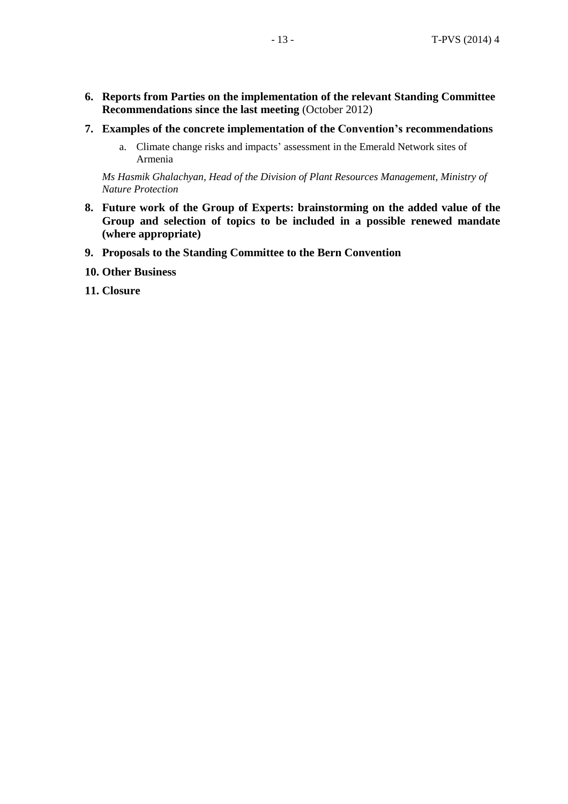- **6. Reports from Parties on the implementation of the relevant Standing Committee Recommendations since the last meeting** (October 2012)
- **7. Examples of the concrete implementation of the Convention's recommendations**
	- a. Climate change risks and impacts' assessment in the Emerald Network sites of Armenia

*Ms Hasmik Ghalachyan, Head of the Division of Plant Resources Management, Ministry of Nature Protection*

- **8. Future work of the Group of Experts: brainstorming on the added value of the Group and selection of topics to be included in a possible renewed mandate (where appropriate)**
- **9. Proposals to the Standing Committee to the Bern Convention**
- **10. Other Business**
- **11. Closure**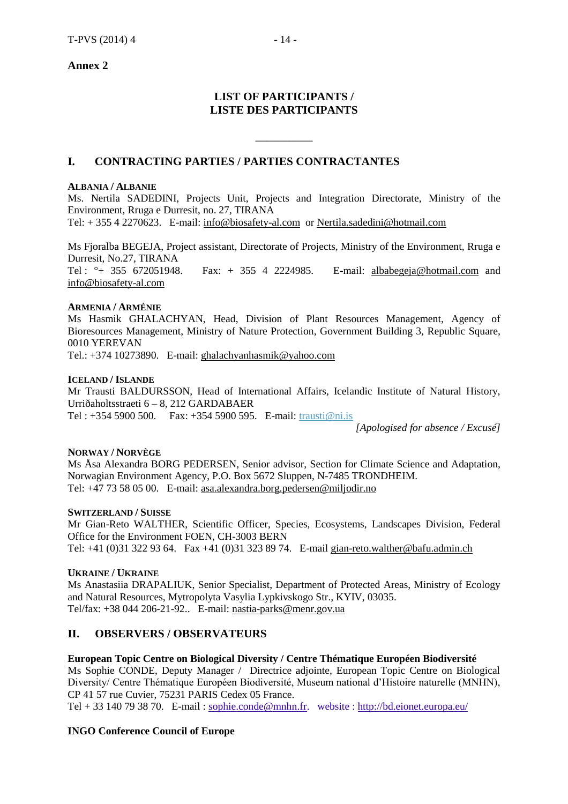## **Annex 2**

# **LIST OF PARTICIPANTS / LISTE DES PARTICIPANTS**

 $\overline{\phantom{a}}$  , where  $\overline{\phantom{a}}$ 

## **I. CONTRACTING PARTIES / PARTIES CONTRACTANTES**

#### **ALBANIA / ALBANIE**

Ms. Nertila SADEDINI, Projects Unit, Projects and Integration Directorate, Ministry of the Environment, Rruga e Durresit, no. 27, TIRANA Tel: + 355 4 2270623. E-mail: [info@biosafety-al.com](mailto:info@biosafety-al.com) or [Nertila.sadedini@hotmail.com](mailto:Nertila.sadedini@hotmail.com)

Ms Fjoralba BEGEJA, Project assistant, Directorate of Projects, Ministry of the Environment, Rruga e Durresit, No.27, TIRANA Tel : °+ 355 672051948. Fax: + 355 4 2224985. E-mail: [albabegeja@hotmail.com](mailto:albabegeja@hotmail.com) and [info@biosafety-al.com](mailto:info@biosafety-al.com)

#### **ARMENIA / ARMÉNIE**

Ms Hasmik GHALACHYAN, Head, Division of Plant Resources Management, Agency of Bioresources Management, Ministry of Nature Protection, Government Building 3, Republic Square, 0010 YEREVAN

Tel.: +374 10273890. E-mail: [ghalachyanhasmik@yahoo.com](mailto:ghalachyanhasmik@yahoo.com)

#### **ICELAND / ISLANDE**

Mr Trausti BALDURSSON, Head of International Affairs, Icelandic Institute of Natural History, Urriðaholtsstraeti 6 – 8, 212 GARDABAER Tel : +354 5900 500. Fax: +354 5900 595. E-mail: [trausti@ni.is](mailto:trausti@ni.is)

*[Apologised for absence / Excusé]*

#### **NORWAY / NORVÈGE**

Ms Åsa Alexandra BORG PEDERSEN, Senior advisor, Section for Climate Science and Adaptation, Norwagian Environment Agency, P.O. Box 5672 Sluppen, N-7485 TRONDHEIM. Tel: +47 73 58 05 00. E-mail: [asa.alexandra.borg.pedersen@miljodir.no](mailto:asa.alexandra.borg.pedersen@miljodir.no)

#### **SWITZERLAND / SUISSE**

Mr Gian-Reto WALTHER, Scientific Officer, Species, Ecosystems, Landscapes Division, Federal Office for the Environment FOEN, CH-3003 BERN Tel: +41 (0)31 322 93 64. Fax +41 (0)31 323 89 74. E-mail [gian-reto.walther@bafu.admin.ch](mailto:gian-reto.walther@bafu.admin.ch)

#### **UKRAINE / UKRAINE**

Ms Anastasiia DRAPALIUK, Senior Specialist, Department of Protected Areas, Ministry of Ecology and Natural Resources, Mytropolyta Vasylia Lypkivskogo Str., KYIV, 03035. Tel/fax: +38 044 206-21-92.. E-mail: [nastia-parks@menr.gov.ua](mailto:nastia-parks@menr.gov.ua)

## **II. OBSERVERS / OBSERVATEURS**

#### **European Topic Centre on Biological Diversity / Centre Thématique Européen Biodiversité**

Ms Sophie CONDE, Deputy Manager / Directrice adjointe, European Topic Centre on Biological Diversity/ Centre Thématique Européen Biodiversité, Museum national d'Histoire naturelle (MNHN), CP 41 57 rue Cuvier, 75231 PARIS Cedex 05 France.

Tel + 33 140 79 38 70. E-mail : [sophie.conde@mnhn.fr.](mailto:sophie.conde@mnhn.fr) website :<http://bd.eionet.europa.eu/>

#### **INGO Conference Council of Europe**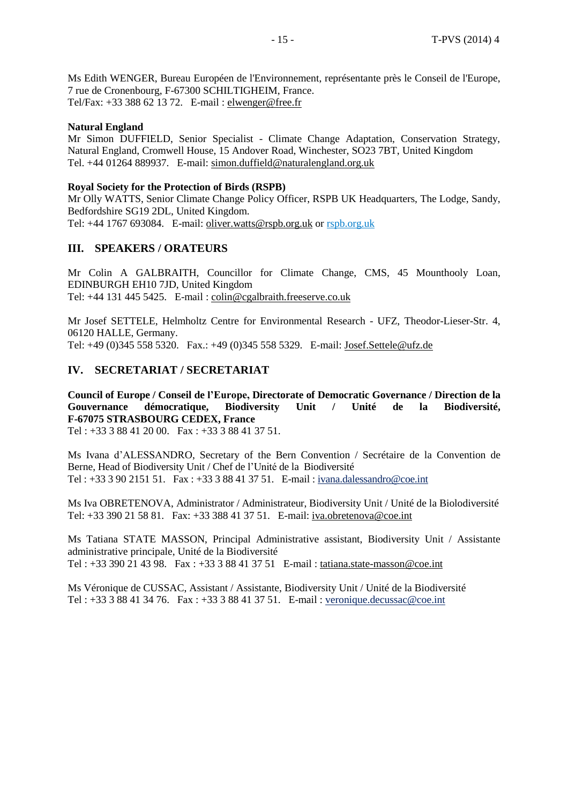Ms Edith WENGER, Bureau Européen de l'Environnement, représentante près le Conseil de l'Europe, 7 rue de Cronenbourg, F-67300 SCHILTIGHEIM, France. Tel/Fax: +33 388 62 13 72. E-mail : [elwenger@free.fr](mailto:elwenger@free.fr)

#### **Natural England**

Mr Simon DUFFIELD, Senior Specialist - Climate Change Adaptation, Conservation Strategy, Natural England, Cromwell House, 15 Andover Road, Winchester, SO23 7BT, United Kingdom Tel. +44 01264 889937. E-mail: [simon.duffield@naturalengland.org.uk](mailto:simon.duffield@naturalengland.org.uk)

#### **Royal Society for the Protection of Birds (RSPB)**

Mr Olly WATTS, Senior Climate Change Policy Officer, RSPB UK Headquarters, The Lodge, Sandy, Bedfordshire SG19 2DL, United Kingdom. Tel: +44 1767 693084. E-mail: [oliver.watts@rspb.org.uk](mailto:oliver.watts@rspb.org.uk) or [rspb.org.uk](http://www.rspb.org.uk/)

## **III. SPEAKERS / ORATEURS**

Mr Colin A GALBRAITH, Councillor for Climate Change, CMS, 45 Mounthooly Loan, EDINBURGH EH10 7JD, United Kingdom Tel: +44 131 445 5425. E-mail : [colin@cgalbraith.freeserve.co.uk](mailto:colin@cgalbraith.freeserve.co.uk)

Mr Josef SETTELE, Helmholtz Centre for Environmental Research - UFZ, Theodor-Lieser-Str. 4, 06120 HALLE, Germany. Tel: +49 (0)345 558 5320. Fax.: +49 (0)345 558 5329. E-mail: [Josef.Settele@ufz.de](mailto:Josef.Settele@ufz.de)

# **IV. SECRETARIAT / SECRETARIAT**

**Council of Europe / Conseil de l'Europe, Directorate of Democratic Governance / Direction de la Gouvernance démocratique, Biodiversity Unit / Unité de la Biodiversité, F-67075 STRASBOURG CEDEX, France**

Tel : +33 3 88 41 20 00. Fax : +33 3 88 41 37 51.

Ms Ivana d'ALESSANDRO, Secretary of the Bern Convention / Secrétaire de la Convention de Berne, Head of Biodiversity Unit / Chef de l'Unité de la Biodiversité Tel : +33 3 90 2151 51. Fax : +33 3 88 41 37 51. E-mail : [ivana.dalessandro@coe.int](mailto:ivana.dalessandro@coe.int)

Ms Iva OBRETENOVA, Administrator / Administrateur, Biodiversity Unit / Unité de la Biolodiversité Tel: +33 390 21 58 81. Fax: +33 388 41 37 51. E-mail: [iva.obretenova@coe.int](mailto:iva.obretenova@coe.int)

Ms Tatiana STATE MASSON, Principal Administrative assistant, Biodiversity Unit / Assistante administrative principale, Unité de la Biodiversité Tel : +33 390 21 43 98. Fax : +33 3 88 41 37 51 E-mail : [tatiana.state-masson@coe.int](mailto:tatiana.state-masson@coe.int)

Ms Véronique de CUSSAC, Assistant / Assistante, Biodiversity Unit / Unité de la Biodiversité Tel : +33 3 88 41 34 76. Fax : +33 3 88 41 37 51. E-mail : [veronique.decussac@coe.int](mailto:veronique.decussac@coe.int)